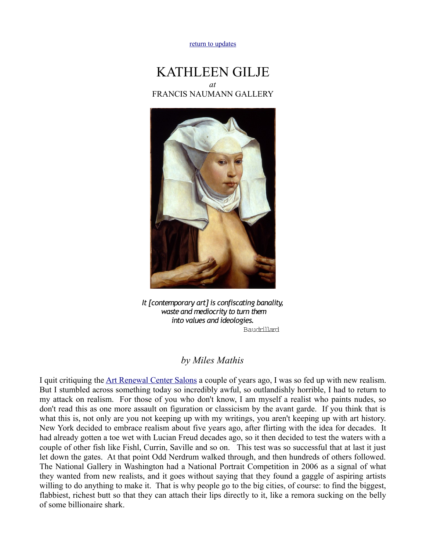## [return to updates](http://mileswmathis.com/updates.html)

## KATHLEEN GILJE *at* FRANCIS NAUMANN GALLERY



*It [contemporary art] is confiscating banality, waste and mediocrity to turn them into values and ideologies.* Baudrillard

## *by Miles Mathis*

I quit critiquing the [Art Renewal Center Salons](http://mileswmathis.com/arc2008.html) a couple of years ago, I was so fed up with new realism. But I stumbled across something today so incredibly awful, so outlandishly horrible, I had to return to my attack on realism. For those of you who don't know, I am myself a realist who paints nudes, so don't read this as one more assault on figuration or classicism by the avant garde. If you think that is what this is, not only are you not keeping up with my writings, you aren't keeping up with art history. New York decided to embrace realism about five years ago, after flirting with the idea for decades. It had already gotten a toe wet with Lucian Freud decades ago, so it then decided to test the waters with a couple of other fish like Fishl, Currin, Saville and so on. This test was so successful that at last it just let down the gates. At that point Odd Nerdrum walked through, and then hundreds of others followed. The National Gallery in Washington had a National Portrait Competition in 2006 as a signal of what they wanted from new realists, and it goes without saying that they found a gaggle of aspiring artists willing to do anything to make it. That is why people go to the big cities, of course: to find the biggest, flabbiest, richest butt so that they can attach their lips directly to it, like a remora sucking on the belly of some billionaire shark.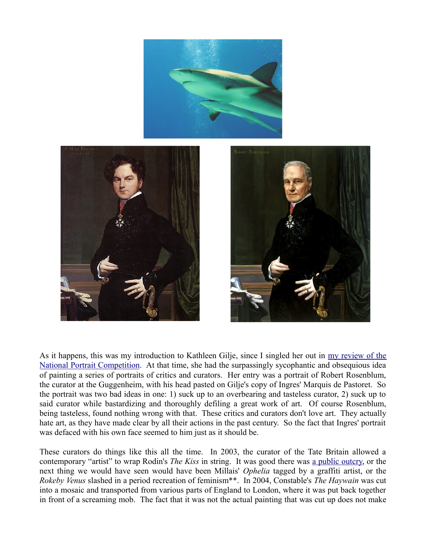

As it happens, this was my introduction to Kathleen Gilje, since I singled her out in [my review of the](http://mileswmathis.com/ng.html) [National Portrait Competition.](http://mileswmathis.com/ng.html) At that time, she had the surpassingly sycophantic and obsequious idea of painting a series of portraits of critics and curators. Her entry was a portrait of Robert Rosenblum, the curator at the Guggenheim, with his head pasted on Gilje's copy of Ingres' Marquis de Pastoret. So the portrait was two bad ideas in one: 1) suck up to an overbearing and tasteless curator, 2) suck up to said curator while bastardizing and thoroughly defiling a great work of art. Of course Rosenblum, being tasteless, found nothing wrong with that. These critics and curators don't love art. They actually hate art, as they have made clear by all their actions in the past century. So the fact that Ingres' portrait was defaced with his own face seemed to him just as it should be.

These curators do things like this all the time. In 2003, the curator of the Tate Britain allowed a contemporary "artist" to wrap Rodin's *The Kiss* in string. It was good there was [a public outcry,](http://mileswmathis.com/le.html) or the next thing we would have seen would have been Millais' *Ophelia* tagged by a graffiti artist, or the *Rokeby Venus* slashed in a period recreation of feminism\*\*. In 2004, Constable's *The Haywain* was cut into a mosaic and transported from various parts of England to London, where it was put back together in front of a screaming mob. The fact that it was not the actual painting that was cut up does not make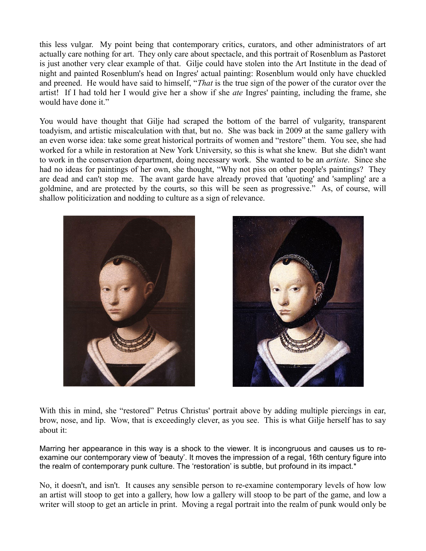this less vulgar. My point being that contemporary critics, curators, and other administrators of art actually care nothing for art. They only care about spectacle, and this portrait of Rosenblum as Pastoret is just another very clear example of that. Gilje could have stolen into the Art Institute in the dead of night and painted Rosenblum's head on Ingres' actual painting: Rosenblum would only have chuckled and preened. He would have said to himself, "*That* is the true sign of the power of the curator over the artist! If I had told her I would give her a show if she *ate* Ingres' painting, including the frame, she would have done it."

You would have thought that Gilje had scraped the bottom of the barrel of vulgarity, transparent toadyism, and artistic miscalculation with that, but no. She was back in 2009 at the same gallery with an even worse idea: take some great historical portraits of women and "restore" them. You see, she had worked for a while in restoration at New York University, so this is what she knew. But she didn't want to work in the conservation department, doing necessary work. She wanted to be an *artiste*. Since she had no ideas for paintings of her own, she thought, "Why not piss on other people's paintings? They are dead and can't stop me. The avant garde have already proved that 'quoting' and 'sampling' are a goldmine, and are protected by the courts, so this will be seen as progressive." As, of course, will shallow politicization and nodding to culture as a sign of relevance.





With this in mind, she "restored" Petrus Christus' portrait above by adding multiple piercings in ear, brow, nose, and lip. Wow, that is exceedingly clever, as you see. This is what Gilje herself has to say about it:

Marring her appearance in this way is a shock to the viewer. It is incongruous and causes us to reexamine our contemporary view of 'beauty'. It moves the impression of a regal, 16th century figure into the realm of contemporary punk culture. The 'restoration' is subtle, but profound in its impact.\*

No, it doesn't, and isn't. It causes any sensible person to re-examine contemporary levels of how low an artist will stoop to get into a gallery, how low a gallery will stoop to be part of the game, and low a writer will stoop to get an article in print. Moving a regal portrait into the realm of punk would only be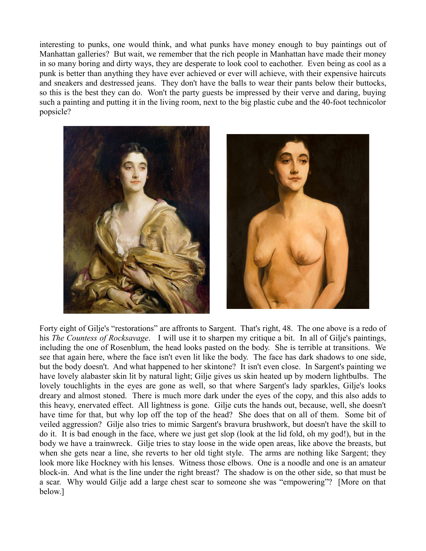interesting to punks, one would think, and what punks have money enough to buy paintings out of Manhattan galleries? But wait, we remember that the rich people in Manhattan have made their money in so many boring and dirty ways, they are desperate to look cool to eachother. Even being as cool as a punk is better than anything they have ever achieved or ever will achieve, with their expensive haircuts and sneakers and destressed jeans. They don't have the balls to wear their pants below their buttocks, so this is the best they can do. Won't the party guests be impressed by their verve and daring, buying such a painting and putting it in the living room, next to the big plastic cube and the 40-foot technicolor popsicle?



Forty eight of Gilje's "restorations" are affronts to Sargent. That's right, 48. The one above is a redo of his *The Countess of Rocksavage*. I will use it to sharpen my critique a bit. In all of Gilje's paintings, including the one of Rosenblum, the head looks pasted on the body. She is terrible at transitions. We see that again here, where the face isn't even lit like the body. The face has dark shadows to one side, but the body doesn't. And what happened to her skintone? It isn't even close. In Sargent's painting we have lovely alabaster skin lit by natural light; Gilje gives us skin heated up by modern lightbulbs. The lovely touchlights in the eyes are gone as well, so that where Sargent's lady sparkles, Gilje's looks dreary and almost stoned. There is much more dark under the eyes of the copy, and this also adds to this heavy, enervated effect. All lightness is gone. Gilje cuts the hands out, because, well, she doesn't have time for that, but why lop off the top of the head? She does that on all of them. Some bit of veiled aggression? Gilje also tries to mimic Sargent's bravura brushwork, but doesn't have the skill to do it. It is bad enough in the face, where we just get slop (look at the lid fold, oh my god!), but in the body we have a trainwreck. Gilje tries to stay loose in the wide open areas, like above the breasts, but when she gets near a line, she reverts to her old tight style. The arms are nothing like Sargent; they look more like Hockney with his lenses. Witness those elbows. One is a noodle and one is an amateur block-in. And what is the line under the right breast? The shadow is on the other side, so that must be a scar. Why would Gilje add a large chest scar to someone she was "empowering"? [More on that below.]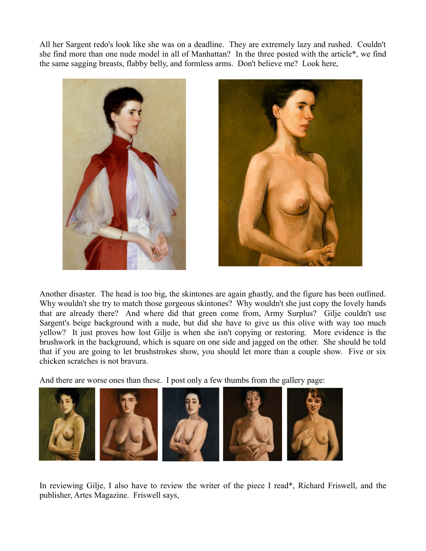All her Sargent redo's look like she was on a deadline. They are extremely lazy and rushed. Couldn't she find more than one nude model in all of Manhattan? In the three posted with the article\*, we find the same sagging breasts, flabby belly, and formless arms. Don't believe me? Look here,



Another disaster. The head is too big, the skintones are again ghastly, and the figure has been outlined. Why wouldn't she try to match those gorgeous skintones? Why wouldn't she just copy the lovely hands that are already there? And where did that green come from, Army Surplus? Gilje couldn't use Sargent's beige background with a nude, but did she have to give us this olive with way too much yellow? It just proves how lost Gilje is when she isn't copying or restoring. More evidence is the brushwork in the background, which is square on one side and jagged on the other. She should be told that if you are going to let brushstrokes show, you should let more than a couple show. Five or six chicken scratches is not bravura.

And there are worse ones than these. I post only a few thumbs from the gallery page:



In reviewing Gilje, I also have to review the writer of the piece I read\*, Richard Friswell, and the publisher, Artes Magazine. Friswell says,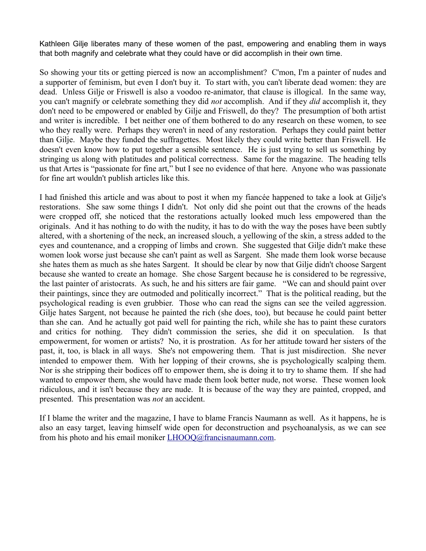Kathleen Gilje liberates many of these women of the past, empowering and enabling them in ways that both magnify and celebrate what they could have or did accomplish in their own time.

So showing your tits or getting pierced is now an accomplishment? C'mon, I'm a painter of nudes and a supporter of feminism, but even I don't buy it. To start with, you can't liberate dead women: they are dead. Unless Gilje or Friswell is also a voodoo re-animator, that clause is illogical. In the same way, you can't magnify or celebrate something they did *not* accomplish. And if they *did* accomplish it, they don't need to be empowered or enabled by Gilje and Friswell, do they? The presumption of both artist and writer is incredible. I bet neither one of them bothered to do any research on these women, to see who they really were. Perhaps they weren't in need of any restoration. Perhaps they could paint better than Gilje. Maybe they funded the suffragettes. Most likely they could write better than Friswell. He doesn't even know how to put together a sensible sentence. He is just trying to sell us something by stringing us along with platitudes and political correctness. Same for the magazine. The heading tells us that Artes is "passionate for fine art," but I see no evidence of that here. Anyone who was passionate for fine art wouldn't publish articles like this.

I had finished this article and was about to post it when my fiancée happened to take a look at Gilje's restorations. She saw some things I didn't. Not only did she point out that the crowns of the heads were cropped off, she noticed that the restorations actually looked much less empowered than the originals. And it has nothing to do with the nudity, it has to do with the way the poses have been subtly altered, with a shortening of the neck, an increased slouch, a yellowing of the skin, a stress added to the eyes and countenance, and a cropping of limbs and crown. She suggested that Gilje didn't make these women look worse just because she can't paint as well as Sargent. She made them look worse because she hates them as much as she hates Sargent. It should be clear by now that Gilje didn't choose Sargent because she wanted to create an homage. She chose Sargent because he is considered to be regressive, the last painter of aristocrats. As such, he and his sitters are fair game. "We can and should paint over their paintings, since they are outmoded and politically incorrect." That is the political reading, but the psychological reading is even grubbier. Those who can read the signs can see the veiled aggression. Gilje hates Sargent, not because he painted the rich (she does, too), but because he could paint better than she can. And he actually got paid well for painting the rich, while she has to paint these curators and critics for nothing. They didn't commission the series, she did it on speculation. Is that empowerment, for women or artists? No, it is prostration. As for her attitude toward her sisters of the past, it, too, is black in all ways. She's not empowering them. That is just misdirection. She never intended to empower them. With her lopping of their crowns, she is psychologically scalping them. Nor is she stripping their bodices off to empower them, she is doing it to try to shame them. If she had wanted to empower them, she would have made them look better nude, not worse. These women look ridiculous, and it isn't because they are nude. It is because of the way they are painted, cropped, and presented. This presentation was *not* an accident.

If I blame the writer and the magazine, I have to blame Francis Naumann as well. As it happens, he is also an easy target, leaving himself wide open for deconstruction and psychoanalysis, as we can see from his photo and his email moniker **LHOOQ@francisnaumann.com.**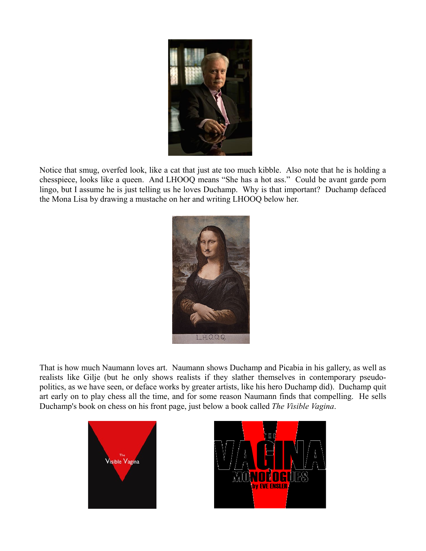

Notice that smug, overfed look, like a cat that just ate too much kibble. Also note that he is holding a chesspiece, looks like a queen. And LHOOQ means "She has a hot ass." Could be avant garde porn lingo, but I assume he is just telling us he loves Duchamp. Why is that important? Duchamp defaced the Mona Lisa by drawing a mustache on her and writing LHOOQ below her.



That is how much Naumann loves art. Naumann shows Duchamp and Picabia in his gallery, as well as realists like Gilje (but he only shows realists if they slather themselves in contemporary pseudopolitics, as we have seen, or deface works by greater artists, like his hero Duchamp did). Duchamp quit art early on to play chess all the time, and for some reason Naumann finds that compelling. He sells Duchamp's book on chess on his front page, just below a book called *The Visible Vagina*.



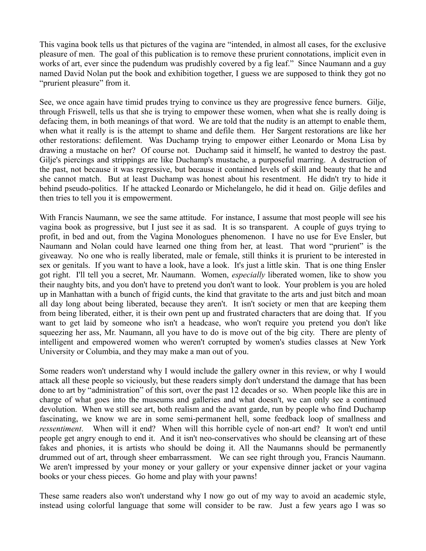This vagina book tells us that pictures of the vagina are "intended, in almost all cases, for the exclusive pleasure of men. The goal of this publication is to remove these prurient connotations, implicit even in works of art, ever since the pudendum was prudishly covered by a fig leaf." Since Naumann and a guy named David Nolan put the book and exhibition together, I guess we are supposed to think they got no "prurient pleasure" from it.

See, we once again have timid prudes trying to convince us they are progressive fence burners. Gilje, through Friswell, tells us that she is trying to empower these women, when what she is really doing is defacing them, in both meanings of that word. We are told that the nudity is an attempt to enable them, when what it really is is the attempt to shame and defile them. Her Sargent restorations are like her other restorations: defilement. Was Duchamp trying to empower either Leonardo or Mona Lisa by drawing a mustache on her? Of course not. Duchamp said it himself, he wanted to destroy the past. Gilje's piercings and strippings are like Duchamp's mustache, a purposeful marring. A destruction of the past, not because it was regressive, but because it contained levels of skill and beauty that he and she cannot match. But at least Duchamp was honest about his resentment. He didn't try to hide it behind pseudo-politics. If he attacked Leonardo or Michelangelo, he did it head on. Gilje defiles and then tries to tell you it is empowerment.

With Francis Naumann, we see the same attitude. For instance, I assume that most people will see his vagina book as progressive, but I just see it as sad. It is so transparent. A couple of guys trying to profit, in bed and out, from the Vagina Monologues phenomenon. I have no use for Eve Ensler, but Naumann and Nolan could have learned one thing from her, at least. That word "prurient" is the giveaway. No one who is really liberated, male or female, still thinks it is prurient to be interested in sex or genitals. If you want to have a look, have a look. It's just a little skin. That is one thing Ensler got right. I'll tell you a secret, Mr. Naumann. Women, *especially* liberated women, like to show you their naughty bits, and you don't have to pretend you don't want to look. Your problem is you are holed up in Manhattan with a bunch of frigid cunts, the kind that gravitate to the arts and just bitch and moan all day long about being liberated, because they aren't. It isn't society or men that are keeping them from being liberated, either, it is their own pent up and frustrated characters that are doing that. If you want to get laid by someone who isn't a headcase, who won't require you pretend you don't like squeezing her ass, Mr. Naumann, all you have to do is move out of the big city. There are plenty of intelligent and empowered women who weren't corrupted by women's studies classes at New York University or Columbia, and they may make a man out of you.

Some readers won't understand why I would include the gallery owner in this review, or why I would attack all these people so viciously, but these readers simply don't understand the damage that has been done to art by "administration" of this sort, over the past 12 decades or so. When people like this are in charge of what goes into the museums and galleries and what doesn't, we can only see a continued devolution. When we still see art, both realism and the avant garde, run by people who find Duchamp fascinating, we know we are in some semi-permanent hell, some feedback loop of smallness and *ressentiment*. When will it end? When will this horrible cycle of non-art end? It won't end until people get angry enough to end it. And it isn't neo-conservatives who should be cleansing art of these fakes and phonies, it is artists who should be doing it. All the Naumanns should be permanently drummed out of art, through sheer embarrassment. We can see right through you, Francis Naumann. We aren't impressed by your money or your gallery or your expensive dinner jacket or your vagina books or your chess pieces. Go home and play with your pawns!

These same readers also won't understand why I now go out of my way to avoid an academic style, instead using colorful language that some will consider to be raw. Just a few years ago I was so